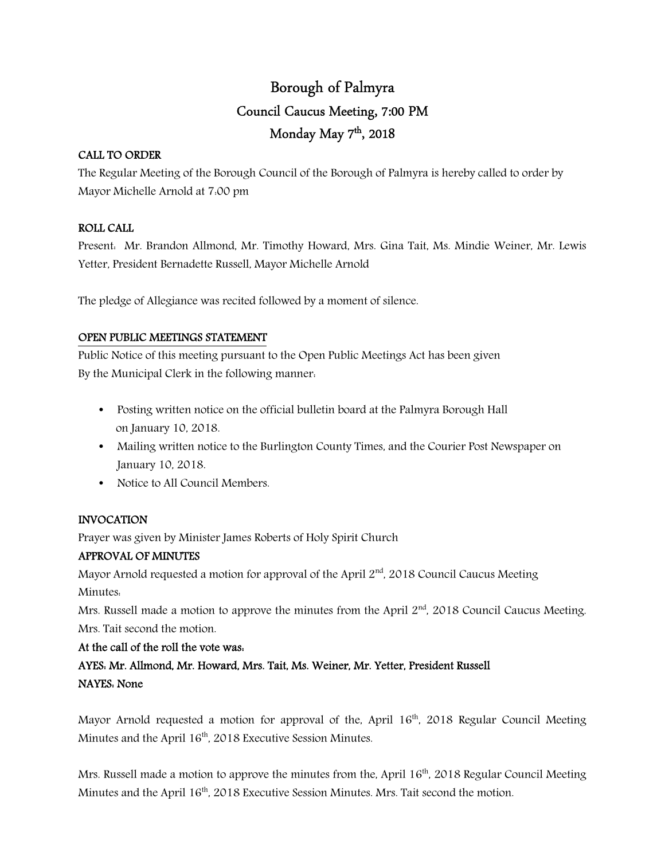# Borough of Palmyra Council Caucus Meeting, 7:00 PM Monday May 7<sup>th</sup>, 2018

### CALL TO ORDER

The Regular Meeting of the Borough Council of the Borough of Palmyra is hereby called to order by Mayor Michelle Arnold at 7:00 pm

## ROLL CALL

Present: Mr. Brandon Allmond, Mr. Timothy Howard, Mrs. Gina Tait, Ms. Mindie Weiner, Mr. Lewis Yetter, President Bernadette Russell, Mayor Michelle Arnold

The pledge of Allegiance was recited followed by a moment of silence.

### OPEN PUBLIC MEETINGS STATEMENT

Public Notice of this meeting pursuant to the Open Public Meetings Act has been given By the Municipal Clerk in the following manner:

- Posting written notice on the official bulletin board at the Palmyra Borough Hall on January 10, 2018.
- Mailing written notice to the Burlington County Times, and the Courier Post Newspaper on January 10, 2018.
- Notice to All Council Members.

## INVOCATION

Prayer was given by Minister James Roberts of Holy Spirit Church

## APPROVAL OF MINUTES

Mayor Arnold requested a motion for approval of the April  $2<sup>nd</sup>$ , 2018 Council Caucus Meeting Minutes:

Mrs. Russell made a motion to approve the minutes from the April  $2<sup>nd</sup>$ , 2018 Council Caucus Meeting. Mrs. Tait second the motion.

## At the call of the roll the vote was:

AYES: Mr. Allmond, Mr. Howard, Mrs. Tait, Ms. Weiner, Mr. Yetter, President Russell NAYES: None

Mayor Arnold requested a motion for approval of the, April  $16<sup>th</sup>$ , 2018 Regular Council Meeting Minutes and the April 16<sup>th</sup>, 2018 Executive Session Minutes.

Mrs. Russell made a motion to approve the minutes from the, April 16<sup>th</sup>, 2018 Regular Council Meeting Minutes and the April 16<sup>th</sup>, 2018 Executive Session Minutes. Mrs. Tait second the motion.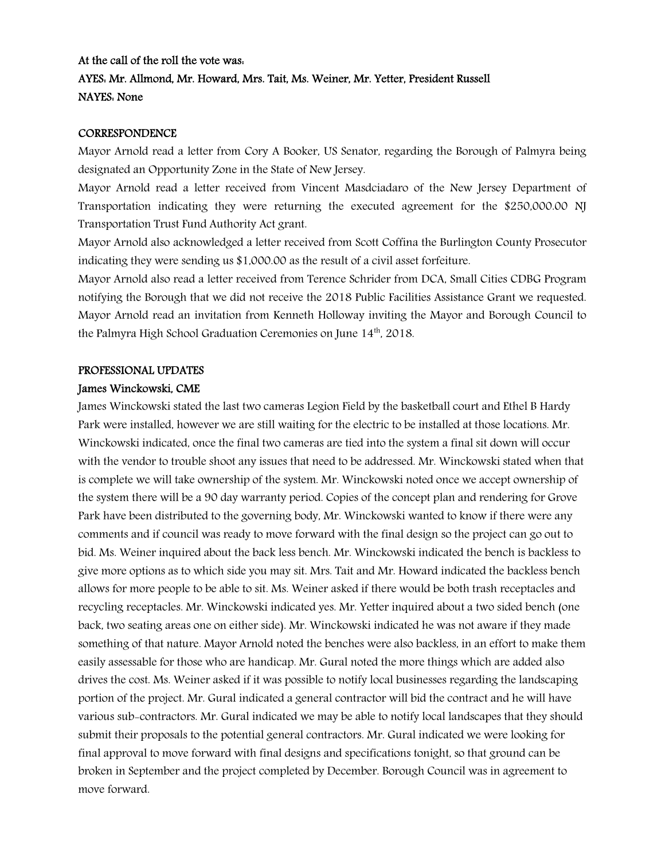## At the call of the roll the vote was: AYES: Mr. Allmond, Mr. Howard, Mrs. Tait, Ms. Weiner, Mr. Yetter, President Russell NAYES: None

### CORRESPONDENCE

Mayor Arnold read a letter from Cory A Booker, US Senator, regarding the Borough of Palmyra being designated an Opportunity Zone in the State of New Jersey.

Mayor Arnold read a letter received from Vincent Masdciadaro of the New Jersey Department of Transportation indicating they were returning the executed agreement for the \$250,000.00 NJ Transportation Trust Fund Authority Act grant.

Mayor Arnold also acknowledged a letter received from Scott Coffina the Burlington County Prosecutor indicating they were sending us \$1,000.00 as the result of a civil asset forfeiture.

Mayor Arnold also read a letter received from Terence Schrider from DCA, Small Cities CDBG Program notifying the Borough that we did not receive the 2018 Public Facilities Assistance Grant we requested. Mayor Arnold read an invitation from Kenneth Holloway inviting the Mayor and Borough Council to the Palmyra High School Graduation Ceremonies on June 14th, 2018.

### PROFESSIONAL UPDATES

### James Winckowski, CME

James Winckowski stated the last two cameras Legion Field by the basketball court and Ethel B Hardy Park were installed, however we are still waiting for the electric to be installed at those locations. Mr. Winckowski indicated, once the final two cameras are tied into the system a final sit down will occur with the vendor to trouble shoot any issues that need to be addressed. Mr. Winckowski stated when that is complete we will take ownership of the system. Mr. Winckowski noted once we accept ownership of the system there will be a 90 day warranty period. Copies of the concept plan and rendering for Grove Park have been distributed to the governing body, Mr. Winckowski wanted to know if there were any comments and if council was ready to move forward with the final design so the project can go out to bid. Ms. Weiner inquired about the back less bench. Mr. Winckowski indicated the bench is backless to give more options as to which side you may sit. Mrs. Tait and Mr. Howard indicated the backless bench allows for more people to be able to sit. Ms. Weiner asked if there would be both trash receptacles and recycling receptacles. Mr. Winckowski indicated yes. Mr. Yetter inquired about a two sided bench (one back, two seating areas one on either side). Mr. Winckowski indicated he was not aware if they made something of that nature. Mayor Arnold noted the benches were also backless, in an effort to make them easily assessable for those who are handicap. Mr. Gural noted the more things which are added also drives the cost. Ms. Weiner asked if it was possible to notify local businesses regarding the landscaping portion of the project. Mr. Gural indicated a general contractor will bid the contract and he will have various sub-contractors. Mr. Gural indicated we may be able to notify local landscapes that they should submit their proposals to the potential general contractors. Mr. Gural indicated we were looking for final approval to move forward with final designs and specifications tonight, so that ground can be broken in September and the project completed by December. Borough Council was in agreement to move forward.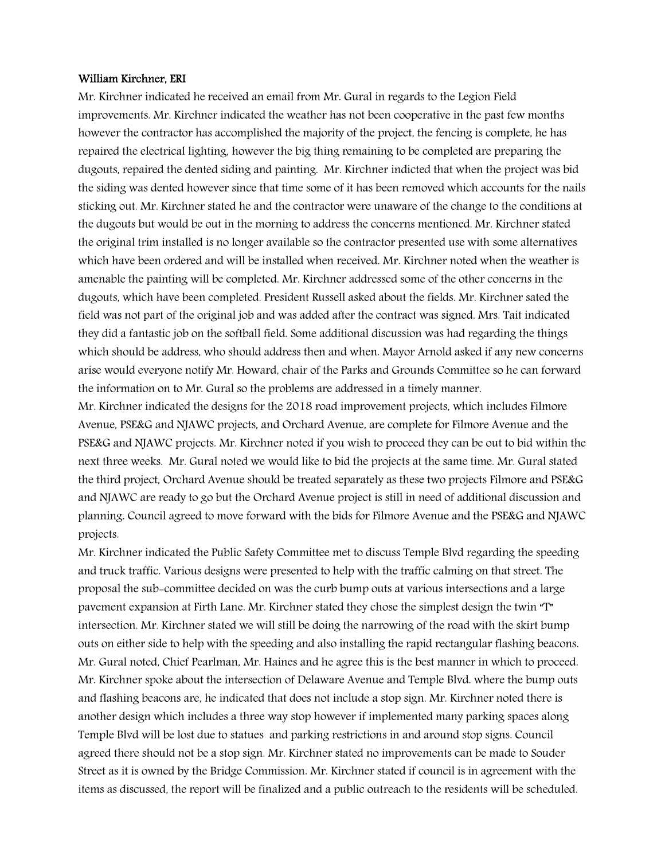### William Kirchner, ERI

Mr. Kirchner indicated he received an email from Mr. Gural in regards to the Legion Field improvements. Mr. Kirchner indicated the weather has not been cooperative in the past few months however the contractor has accomplished the majority of the project, the fencing is complete, he has repaired the electrical lighting, however the big thing remaining to be completed are preparing the dugouts, repaired the dented siding and painting. Mr. Kirchner indicted that when the project was bid the siding was dented however since that time some of it has been removed which accounts for the nails sticking out. Mr. Kirchner stated he and the contractor were unaware of the change to the conditions at the dugouts but would be out in the morning to address the concerns mentioned. Mr. Kirchner stated the original trim installed is no longer available so the contractor presented use with some alternatives which have been ordered and will be installed when received. Mr. Kirchner noted when the weather is amenable the painting will be completed. Mr. Kirchner addressed some of the other concerns in the dugouts, which have been completed. President Russell asked about the fields. Mr. Kirchner sated the field was not part of the original job and was added after the contract was signed. Mrs. Tait indicated they did a fantastic job on the softball field. Some additional discussion was had regarding the things which should be address, who should address then and when. Mayor Arnold asked if any new concerns arise would everyone notify Mr. Howard, chair of the Parks and Grounds Committee so he can forward the information on to Mr. Gural so the problems are addressed in a timely manner.

Mr. Kirchner indicated the designs for the 2018 road improvement projects, which includes Filmore Avenue, PSE&G and NJAWC projects, and Orchard Avenue, are complete for Filmore Avenue and the PSE&G and NJAWC projects. Mr. Kirchner noted if you wish to proceed they can be out to bid within the next three weeks. Mr. Gural noted we would like to bid the projects at the same time. Mr. Gural stated the third project, Orchard Avenue should be treated separately as these two projects Filmore and PSE&G and NJAWC are ready to go but the Orchard Avenue project is still in need of additional discussion and planning. Council agreed to move forward with the bids for Filmore Avenue and the PSE&G and NJAWC projects.

Mr. Kirchner indicated the Public Safety Committee met to discuss Temple Blvd regarding the speeding and truck traffic. Various designs were presented to help with the traffic calming on that street. The proposal the sub-committee decided on was the curb bump outs at various intersections and a large pavement expansion at Firth Lane. Mr. Kirchner stated they chose the simplest design the twin "T" intersection. Mr. Kirchner stated we will still be doing the narrowing of the road with the skirt bump outs on either side to help with the speeding and also installing the rapid rectangular flashing beacons. Mr. Gural noted, Chief Pearlman, Mr. Haines and he agree this is the best manner in which to proceed. Mr. Kirchner spoke about the intersection of Delaware Avenue and Temple Blvd. where the bump outs and flashing beacons are, he indicated that does not include a stop sign. Mr. Kirchner noted there is another design which includes a three way stop however if implemented many parking spaces along Temple Blvd will be lost due to statues and parking restrictions in and around stop signs. Council agreed there should not be a stop sign. Mr. Kirchner stated no improvements can be made to Souder Street as it is owned by the Bridge Commission. Mr. Kirchner stated if council is in agreement with the items as discussed, the report will be finalized and a public outreach to the residents will be scheduled.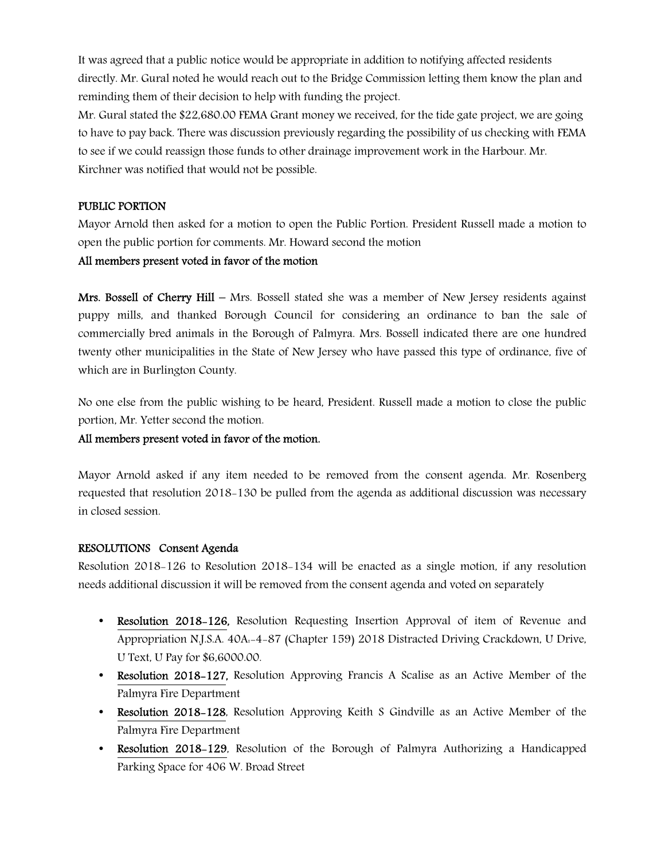It was agreed that a public notice would be appropriate in addition to notifying affected residents directly. Mr. Gural noted he would reach out to the Bridge Commission letting them know the plan and reminding them of their decision to help with funding the project.

Mr. Gural stated the \$22,680.00 FEMA Grant money we received, for the tide gate project, we are going to have to pay back. There was discussion previously regarding the possibility of us checking with FEMA to see if we could reassign those funds to other drainage improvement work in the Harbour. Mr. Kirchner was notified that would not be possible.

### PUBLIC PORTION

Mayor Arnold then asked for a motion to open the Public Portion. President Russell made a motion to open the public portion for comments. Mr. Howard second the motion

### All members present voted in favor of the motion

Mrs. Bossell of Cherry Hill – Mrs. Bossell stated she was a member of New Jersey residents against puppy mills, and thanked Borough Council for considering an ordinance to ban the sale of commercially bred animals in the Borough of Palmyra. Mrs. Bossell indicated there are one hundred twenty other municipalities in the State of New Jersey who have passed this type of ordinance, five of which are in Burlington County.

No one else from the public wishing to be heard, President. Russell made a motion to close the public portion, Mr. Yetter second the motion.

### All members present voted in favor of the motion.

Mayor Arnold asked if any item needed to be removed from the consent agenda. Mr. Rosenberg requested that resolution 2018-130 be pulled from the agenda as additional discussion was necessary in closed session.

### RESOLUTIONS Consent Agenda

Resolution 2018-126 to Resolution 2018-134 will be enacted as a single motion, if any resolution needs additional discussion it will be removed from the consent agenda and voted on separately

- Resolution 2018-126, Resolution Requesting Insertion Approval of item of Revenue and Appropriation N.J.S.A. 40A:-4-87 (Chapter 159) 2018 Distracted Driving Crackdown, U Drive, U Text, U Pay for \$6,6000.00.
- Resolution 2018-127, Resolution Approving Francis A Scalise as an Active Member of the Palmyra Fire Department
- Resolution 2018–128, Resolution Approving Keith S Gindville as an Active Member of the Palmyra Fire Department
- Resolution 2018–129, Resolution of the Borough of Palmyra Authorizing a Handicapped Parking Space for 406 W. Broad Street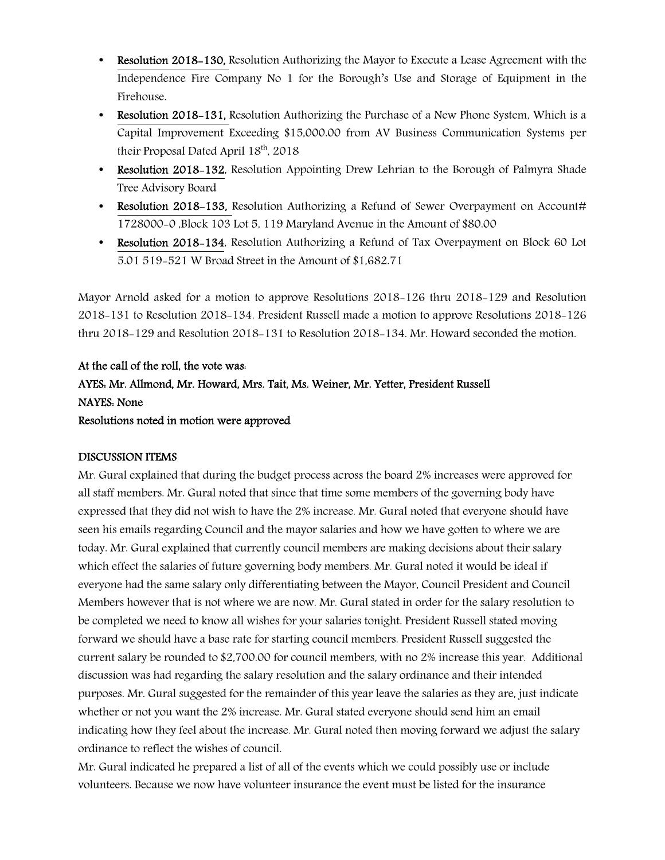- Resolution 2018–130, Resolution Authorizing the Mayor to Execute a Lease Agreement with the Independence Fire Company No 1 for the Borough's Use and Storage of Equipment in the Firehouse.
- Resolution 2018–131, Resolution Authorizing the Purchase of a New Phone System, Which is a Capital Improvement Exceeding \$15,000.00 from AV Business Communication Systems per their Proposal Dated April  $18<sup>th</sup>$ , 2018
- Resolution 2018–132, Resolution Appointing Drew Lehrian to the Borough of Palmyra Shade Tree Advisory Board
- Resolution 2018–133, Resolution Authorizing a Refund of Sewer Overpayment on Account# 1728000-0 ,Block 103 Lot 5, 119 Maryland Avenue in the Amount of \$80.00
- Resolution 2018–134, Resolution Authorizing a Refund of Tax Overpayment on Block 60 Lot 5.01 519-521 W Broad Street in the Amount of \$1,682.71

Mayor Arnold asked for a motion to approve Resolutions 2018-126 thru 2018-129 and Resolution 2018-131 to Resolution 2018-134. President Russell made a motion to approve Resolutions 2018-126 thru 2018-129 and Resolution 2018-131 to Resolution 2018-134. Mr. Howard seconded the motion.

## At the call of the roll, the vote was: AYES: Mr. Allmond, Mr. Howard, Mrs. Tait, Ms. Weiner, Mr. Yetter, President Russell NAYES: None Resolutions noted in motion were approved

## DISCUSSION ITEMS

Mr. Gural explained that during the budget process across the board 2% increases were approved for all staff members. Mr. Gural noted that since that time some members of the governing body have expressed that they did not wish to have the 2% increase. Mr. Gural noted that everyone should have seen his emails regarding Council and the mayor salaries and how we have gotten to where we are today. Mr. Gural explained that currently council members are making decisions about their salary which effect the salaries of future governing body members. Mr. Gural noted it would be ideal if everyone had the same salary only differentiating between the Mayor, Council President and Council Members however that is not where we are now. Mr. Gural stated in order for the salary resolution to be completed we need to know all wishes for your salaries tonight. President Russell stated moving forward we should have a base rate for starting council members. President Russell suggested the current salary be rounded to \$2,700.00 for council members, with no 2% increase this year. Additional discussion was had regarding the salary resolution and the salary ordinance and their intended purposes. Mr. Gural suggested for the remainder of this year leave the salaries as they are, just indicate whether or not you want the 2% increase. Mr. Gural stated everyone should send him an email indicating how they feel about the increase. Mr. Gural noted then moving forward we adjust the salary ordinance to reflect the wishes of council.

Mr. Gural indicated he prepared a list of all of the events which we could possibly use or include volunteers. Because we now have volunteer insurance the event must be listed for the insurance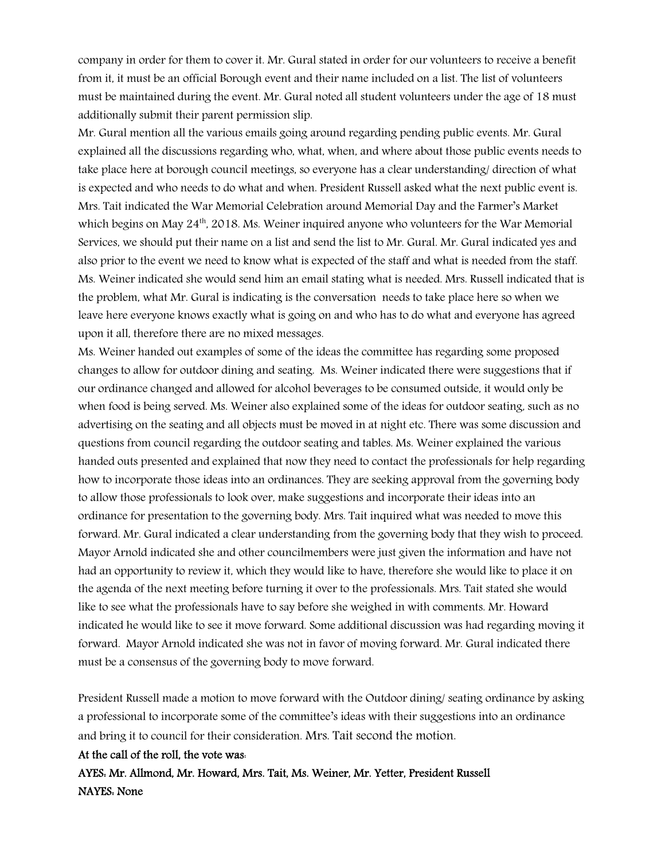company in order for them to cover it. Mr. Gural stated in order for our volunteers to receive a benefit from it, it must be an official Borough event and their name included on a list. The list of volunteers must be maintained during the event. Mr. Gural noted all student volunteers under the age of 18 must additionally submit their parent permission slip.

Mr. Gural mention all the various emails going around regarding pending public events. Mr. Gural explained all the discussions regarding who, what, when, and where about those public events needs to take place here at borough council meetings, so everyone has a clear understanding/ direction of what is expected and who needs to do what and when. President Russell asked what the next public event is. Mrs. Tait indicated the War Memorial Celebration around Memorial Day and the Farmer's Market which begins on May  $24<sup>th</sup>$ , 2018. Ms. Weiner inquired anyone who volunteers for the War Memorial Services, we should put their name on a list and send the list to Mr. Gural. Mr. Gural indicated yes and also prior to the event we need to know what is expected of the staff and what is needed from the staff. Ms. Weiner indicated she would send him an email stating what is needed. Mrs. Russell indicated that is the problem, what Mr. Gural is indicating is the conversation needs to take place here so when we leave here everyone knows exactly what is going on and who has to do what and everyone has agreed upon it all, therefore there are no mixed messages.

Ms. Weiner handed out examples of some of the ideas the committee has regarding some proposed changes to allow for outdoor dining and seating. Ms. Weiner indicated there were suggestions that if our ordinance changed and allowed for alcohol beverages to be consumed outside, it would only be when food is being served. Ms. Weiner also explained some of the ideas for outdoor seating, such as no advertising on the seating and all objects must be moved in at night etc. There was some discussion and questions from council regarding the outdoor seating and tables. Ms. Weiner explained the various handed outs presented and explained that now they need to contact the professionals for help regarding how to incorporate those ideas into an ordinances. They are seeking approval from the governing body to allow those professionals to look over, make suggestions and incorporate their ideas into an ordinance for presentation to the governing body. Mrs. Tait inquired what was needed to move this forward. Mr. Gural indicated a clear understanding from the governing body that they wish to proceed. Mayor Arnold indicated she and other councilmembers were just given the information and have not had an opportunity to review it, which they would like to have, therefore she would like to place it on the agenda of the next meeting before turning it over to the professionals. Mrs. Tait stated she would like to see what the professionals have to say before she weighed in with comments. Mr. Howard indicated he would like to see it move forward. Some additional discussion was had regarding moving it forward. Mayor Arnold indicated she was not in favor of moving forward. Mr. Gural indicated there must be a consensus of the governing body to move forward.

President Russell made a motion to move forward with the Outdoor dining/ seating ordinance by asking a professional to incorporate some of the committee's ideas with their suggestions into an ordinance and bring it to council for their consideration. Mrs. Tait second the motion.

#### At the call of the roll, the vote was:

AYES: Mr. Allmond, Mr. Howard, Mrs. Tait, Ms. Weiner, Mr. Yetter, President Russell NAYES: None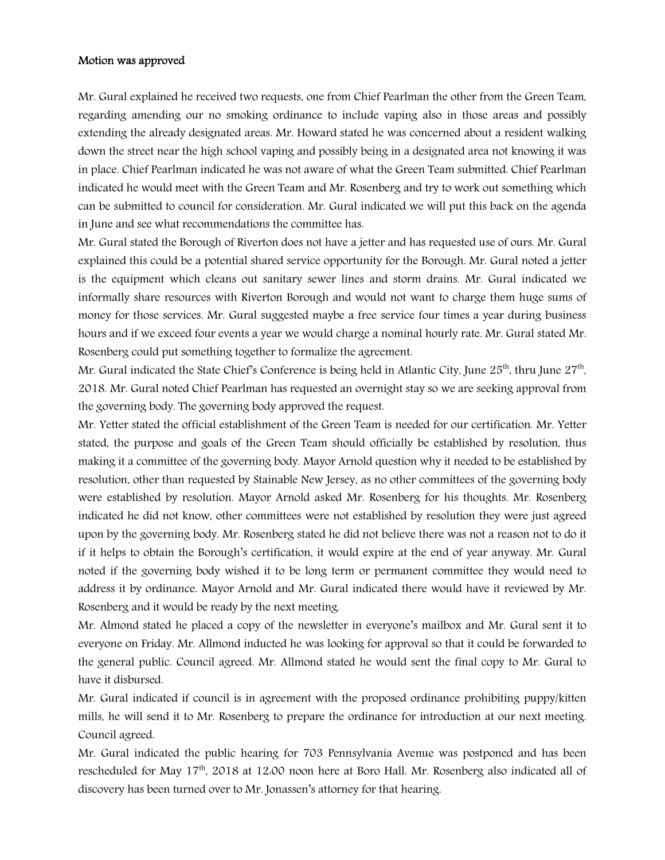#### Motion was approved

Mr. Gural explained he received two requests, one from Chief Pearlman the other from the Green Team, regarding amending our no smoking ordinance to include vaping also in those areas and possibly extending the already designated areas. Mr. Howard stated he was concerned about a resident walking down the street near the high school vaping and possibly being in a designated area not knowing it was in place. Chief Pearlman indicated he was not aware of what the Green Team submitted. Chief Pearlman indicated he would meet with the Green Team and Mr. Rosenberg and try to work out something which can be submitted to council for consideration. Mr. Gural indicated we will put this back on the agenda in June and see what recommendations the committee has.

Mr. Gural stated the Borough of Riverton does not have a jetter and has requested use of ours. Mr. Gural explained this could be a potential shared service opportunity for the Borough. Mr. Gural noted a jetter is the equipment which cleans out sanitary sewer lines and storm drains. Mr. Gural indicated we informally share resources with Riverton Borough and would not want to charge them huge sums of money for those services. Mr. Gural suggested maybe a free service four times a year during business hours and if we exceed four events a year we would charge a nominal hourly rate. Mr. Gural stated Mr. Rosenberg could put something together to formalize the agreement.

Mr. Gural indicated the State Chief's Conference is being held in Atlantic City, June 25<sup>th</sup>, thru June 27<sup>th</sup>, 2018. Mr. Gural noted Chief Pearlman has requested an overnight stay so we are seeking approval from the governing body. The governing body approved the request.

Mr. Yetter stated the official establishment of the Green Team is needed for our certification. Mr. Yetter stated, the purpose and goals of the Green Team should officially be established by resolution, thus making it a committee of the governing body. Mayor Arnold question why it needed to be established by resolution, other than requested by Stainable New Jersey, as no other committees of the governing body were established by resolution. Mayor Arnold asked Mr. Rosenberg for his thoughts. Mr. Rosenberg indicated he did not know, other committees were not established by resolution they were just agreed upon by the governing body. Mr. Rosenberg stated he did not believe there was not a reason not to do it if it helps to obtain the Borough's certification, it would expire at the end of year anyway. Mr. Gural noted if the governing body wished it to be long term or permanent committee they would need to address it by ordinance. Mayor Arnold and Mr. Gural indicated there would have it reviewed by Mr. Rosenberg and it would be ready by the next meeting.

Mr. Almond stated he placed a copy of the newsletter in everyone's mailbox and Mr. Gural sent it to everyone on Friday. Mr. Allmond inducted he was looking for approval so that it could be forwarded to the general public. Council agreed. Mr. Allmond stated he would sent the final copy to Mr. Gural to have it disbursed.

Mr. Gural indicated if council is in agreement with the proposed ordinance prohibiting puppy/kitten mills, he will send it to Mr. Rosenberg to prepare the ordinance for introduction at our next meeting. Council agreed.

Mr. Gural indicated the public hearing for 703 Pennsylvania Avenue was postponed and has been rescheduled for May 17<sup>th</sup>, 2018 at 12:00 noon here at Boro Hall. Mr. Rosenberg also indicated all of discovery has been turned over to Mr. Jonassen's attorney for that hearing.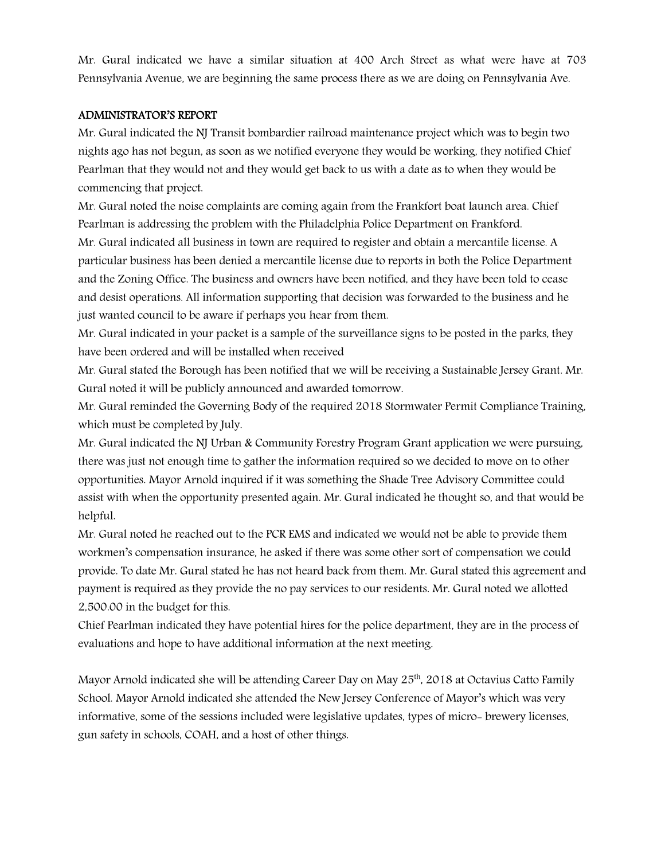Mr. Gural indicated we have a similar situation at 400 Arch Street as what were have at 703 Pennsylvania Avenue, we are beginning the same process there as we are doing on Pennsylvania Ave.

### ADMINISTRATOR'S REPORT

Mr. Gural indicated the NJ Transit bombardier railroad maintenance project which was to begin two nights ago has not begun, as soon as we notified everyone they would be working, they notified Chief Pearlman that they would not and they would get back to us with a date as to when they would be commencing that project.

Mr. Gural noted the noise complaints are coming again from the Frankfort boat launch area. Chief Pearlman is addressing the problem with the Philadelphia Police Department on Frankford.

Mr. Gural indicated all business in town are required to register and obtain a mercantile license. A particular business has been denied a mercantile license due to reports in both the Police Department and the Zoning Office. The business and owners have been notified, and they have been told to cease and desist operations. All information supporting that decision was forwarded to the business and he just wanted council to be aware if perhaps you hear from them.

Mr. Gural indicated in your packet is a sample of the surveillance signs to be posted in the parks, they have been ordered and will be installed when received

Mr. Gural stated the Borough has been notified that we will be receiving a Sustainable Jersey Grant. Mr. Gural noted it will be publicly announced and awarded tomorrow.

Mr. Gural reminded the Governing Body of the required 2018 Stormwater Permit Compliance Training, which must be completed by July.

Mr. Gural indicated the NJ Urban & Community Forestry Program Grant application we were pursuing, there was just not enough time to gather the information required so we decided to move on to other opportunities. Mayor Arnold inquired if it was something the Shade Tree Advisory Committee could assist with when the opportunity presented again. Mr. Gural indicated he thought so, and that would be helpful.

Mr. Gural noted he reached out to the PCR EMS and indicated we would not be able to provide them workmen's compensation insurance, he asked if there was some other sort of compensation we could provide. To date Mr. Gural stated he has not heard back from them. Mr. Gural stated this agreement and payment is required as they provide the no pay services to our residents. Mr. Gural noted we allotted 2,500.00 in the budget for this.

Chief Pearlman indicated they have potential hires for the police department, they are in the process of evaluations and hope to have additional information at the next meeting.

Mayor Arnold indicated she will be attending Career Day on May 25<sup>th</sup>, 2018 at Octavius Catto Family School. Mayor Arnold indicated she attended the New Jersey Conference of Mayor's which was very informative, some of the sessions included were legislative updates, types of micro- brewery licenses, gun safety in schools, COAH, and a host of other things.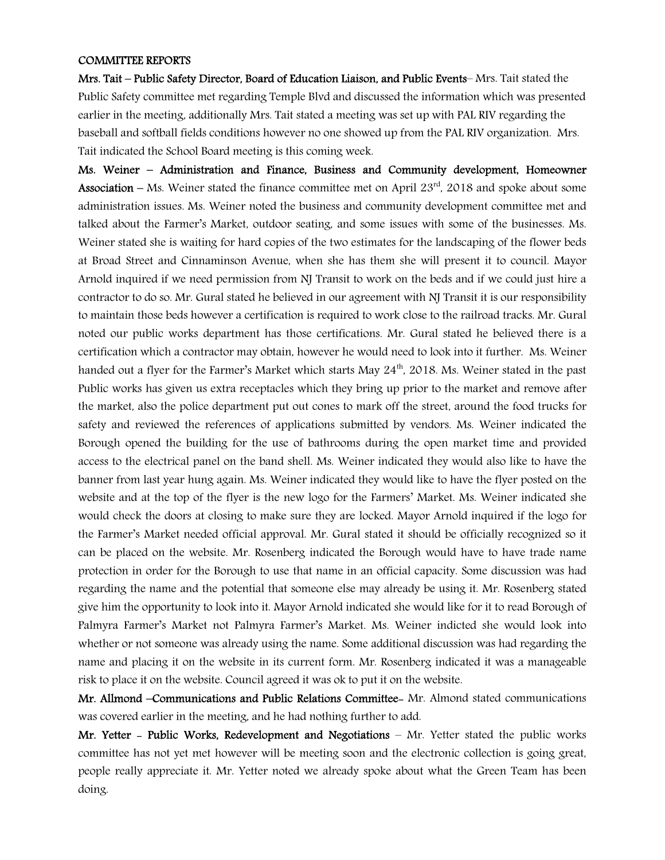#### COMMITTEE REPORTS

Mrs. Tait – Public Safety Director, Board of Education Liaison, and Public Events– Mrs. Tait stated the Public Safety committee met regarding Temple Blvd and discussed the information which was presented earlier in the meeting, additionally Mrs. Tait stated a meeting was set up with PAL RIV regarding the baseball and softball fields conditions however no one showed up from the PAL RIV organization. Mrs. Tait indicated the School Board meeting is this coming week.

Ms. Weiner – Administration and Finance, Business and Community development, Homeowner **Association** – Ms. Weiner stated the finance committee met on April  $23<sup>rd</sup>$ , 2018 and spoke about some administration issues. Ms. Weiner noted the business and community development committee met and talked about the Farmer's Market, outdoor seating, and some issues with some of the businesses. Ms. Weiner stated she is waiting for hard copies of the two estimates for the landscaping of the flower beds at Broad Street and Cinnaminson Avenue, when she has them she will present it to council. Mayor Arnold inquired if we need permission from NJ Transit to work on the beds and if we could just hire a contractor to do so. Mr. Gural stated he believed in our agreement with NJ Transit it is our responsibility to maintain those beds however a certification is required to work close to the railroad tracks. Mr. Gural noted our public works department has those certifications. Mr. Gural stated he believed there is a certification which a contractor may obtain, however he would need to look into it further. Ms. Weiner handed out a flyer for the Farmer's Market which starts May 24<sup>th</sup>, 2018. Ms. Weiner stated in the past Public works has given us extra receptacles which they bring up prior to the market and remove after the market, also the police department put out cones to mark off the street, around the food trucks for safety and reviewed the references of applications submitted by vendors. Ms. Weiner indicated the Borough opened the building for the use of bathrooms during the open market time and provided access to the electrical panel on the band shell. Ms. Weiner indicated they would also like to have the banner from last year hung again. Ms. Weiner indicated they would like to have the flyer posted on the website and at the top of the flyer is the new logo for the Farmers' Market. Ms. Weiner indicated she would check the doors at closing to make sure they are locked. Mayor Arnold inquired if the logo for the Farmer's Market needed official approval. Mr. Gural stated it should be officially recognized so it can be placed on the website. Mr. Rosenberg indicated the Borough would have to have trade name protection in order for the Borough to use that name in an official capacity. Some discussion was had regarding the name and the potential that someone else may already be using it. Mr. Rosenberg stated give him the opportunity to look into it. Mayor Arnold indicated she would like for it to read Borough of Palmyra Farmer's Market not Palmyra Farmer's Market. Ms. Weiner indicted she would look into whether or not someone was already using the name. Some additional discussion was had regarding the name and placing it on the website in its current form. Mr. Rosenberg indicated it was a manageable risk to place it on the website. Council agreed it was ok to put it on the website.

Mr. Allmond –Communications and Public Relations Committee- Mr. Almond stated communications was covered earlier in the meeting, and he had nothing further to add.

Mr. Yetter - Public Works, Redevelopment and Negotiations - Mr. Yetter stated the public works committee has not yet met however will be meeting soon and the electronic collection is going great, people really appreciate it. Mr. Yetter noted we already spoke about what the Green Team has been doing.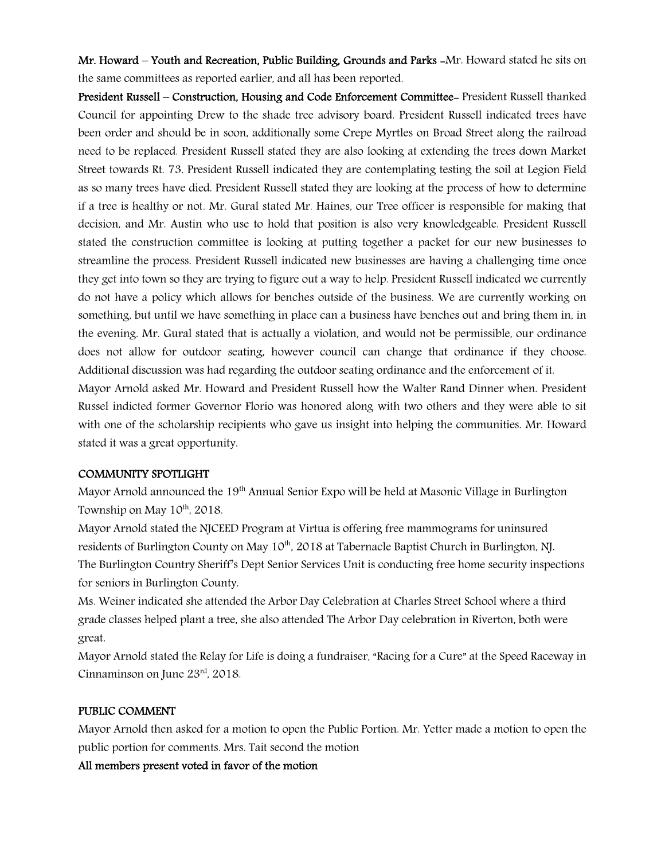Mr. Howard – Youth and Recreation, Public Building, Grounds and Parks -Mr. Howard stated he sits on the same committees as reported earlier, and all has been reported.

President Russell – Construction, Housing and Code Enforcement Committee- President Russell thanked Council for appointing Drew to the shade tree advisory board. President Russell indicated trees have been order and should be in soon, additionally some Crepe Myrtles on Broad Street along the railroad need to be replaced. President Russell stated they are also looking at extending the trees down Market Street towards Rt. 73. President Russell indicated they are contemplating testing the soil at Legion Field as so many trees have died. President Russell stated they are looking at the process of how to determine if a tree is healthy or not. Mr. Gural stated Mr. Haines, our Tree officer is responsible for making that decision, and Mr. Austin who use to hold that position is also very knowledgeable. President Russell stated the construction committee is looking at putting together a packet for our new businesses to streamline the process. President Russell indicated new businesses are having a challenging time once they get into town so they are trying to figure out a way to help. President Russell indicated we currently do not have a policy which allows for benches outside of the business. We are currently working on something, but until we have something in place can a business have benches out and bring them in, in the evening. Mr. Gural stated that is actually a violation, and would not be permissible, our ordinance does not allow for outdoor seating, however council can change that ordinance if they choose. Additional discussion was had regarding the outdoor seating ordinance and the enforcement of it. Mayor Arnold asked Mr. Howard and President Russell how the Walter Rand Dinner when. President Russel indicted former Governor Florio was honored along with two others and they were able to sit with one of the scholarship recipients who gave us insight into helping the communities. Mr. Howard

stated it was a great opportunity.

### COMMUNITY SPOTLIGHT

Mayor Arnold announced the 19<sup>th</sup> Annual Senior Expo will be held at Masonic Village in Burlington Township on May  $10^{th}$ , 2018.

Mayor Arnold stated the NJCEED Program at Virtua is offering free mammograms for uninsured residents of Burlington County on May 10<sup>th</sup>, 2018 at Tabernacle Baptist Church in Burlington, NJ. The Burlington Country Sheriff's Dept Senior Services Unit is conducting free home security inspections for seniors in Burlington County.

Ms. Weiner indicated she attended the Arbor Day Celebration at Charles Street School where a third grade classes helped plant a tree, she also attended The Arbor Day celebration in Riverton, both were great.

Mayor Arnold stated the Relay for Life is doing a fundraiser, "Racing for a Cure" at the Speed Raceway in Cinnaminson on June 23rd, 2018.

### PUBLIC COMMENT

Mayor Arnold then asked for a motion to open the Public Portion. Mr. Yetter made a motion to open the public portion for comments. Mrs. Tait second the motion

All members present voted in favor of the motion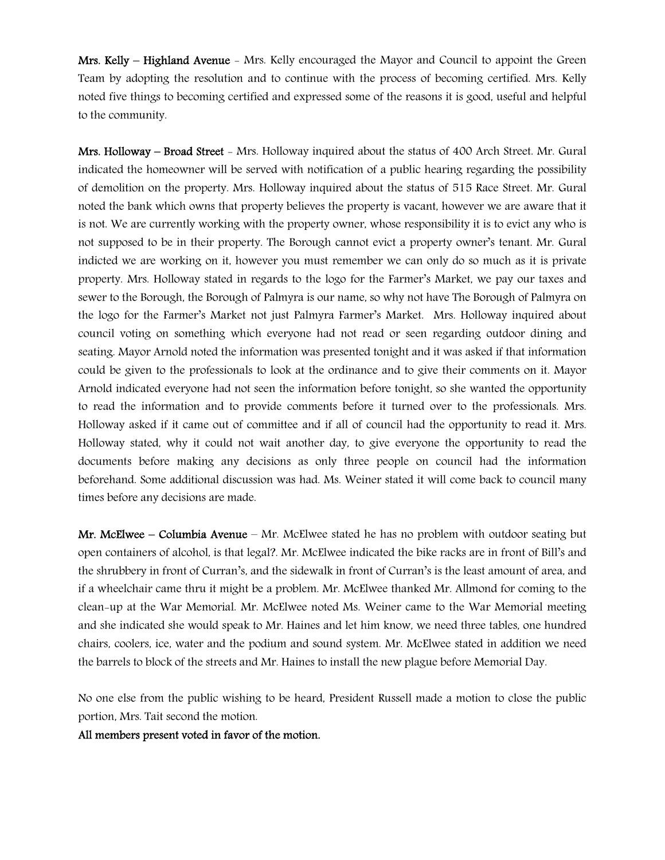Mrs. Kelly – Highland Avenue - Mrs. Kelly encouraged the Mayor and Council to appoint the Green Team by adopting the resolution and to continue with the process of becoming certified. Mrs. Kelly noted five things to becoming certified and expressed some of the reasons it is good, useful and helpful to the community.

Mrs. Holloway – Broad Street - Mrs. Holloway inquired about the status of 400 Arch Street. Mr. Gural indicated the homeowner will be served with notification of a public hearing regarding the possibility of demolition on the property. Mrs. Holloway inquired about the status of 515 Race Street. Mr. Gural noted the bank which owns that property believes the property is vacant, however we are aware that it is not. We are currently working with the property owner, whose responsibility it is to evict any who is not supposed to be in their property. The Borough cannot evict a property owner's tenant. Mr. Gural indicted we are working on it, however you must remember we can only do so much as it is private property. Mrs. Holloway stated in regards to the logo for the Farmer's Market, we pay our taxes and sewer to the Borough, the Borough of Palmyra is our name, so why not have The Borough of Palmyra on the logo for the Farmer's Market not just Palmyra Farmer's Market. Mrs. Holloway inquired about council voting on something which everyone had not read or seen regarding outdoor dining and seating. Mayor Arnold noted the information was presented tonight and it was asked if that information could be given to the professionals to look at the ordinance and to give their comments on it. Mayor Arnold indicated everyone had not seen the information before tonight, so she wanted the opportunity to read the information and to provide comments before it turned over to the professionals. Mrs. Holloway asked if it came out of committee and if all of council had the opportunity to read it. Mrs. Holloway stated, why it could not wait another day, to give everyone the opportunity to read the documents before making any decisions as only three people on council had the information beforehand. Some additional discussion was had. Ms. Weiner stated it will come back to council many times before any decisions are made.

Mr. McElwee – Columbia Avenue – Mr. McElwee stated he has no problem with outdoor seating but open containers of alcohol, is that legal?. Mr. McElwee indicated the bike racks are in front of Bill's and the shrubbery in front of Curran's, and the sidewalk in front of Curran's is the least amount of area, and if a wheelchair came thru it might be a problem. Mr. McElwee thanked Mr. Allmond for coming to the clean-up at the War Memorial. Mr. McElwee noted Ms. Weiner came to the War Memorial meeting and she indicated she would speak to Mr. Haines and let him know, we need three tables, one hundred chairs, coolers, ice, water and the podium and sound system. Mr. McElwee stated in addition we need the barrels to block of the streets and Mr. Haines to install the new plague before Memorial Day.

No one else from the public wishing to be heard, President Russell made a motion to close the public portion, Mrs. Tait second the motion.

All members present voted in favor of the motion.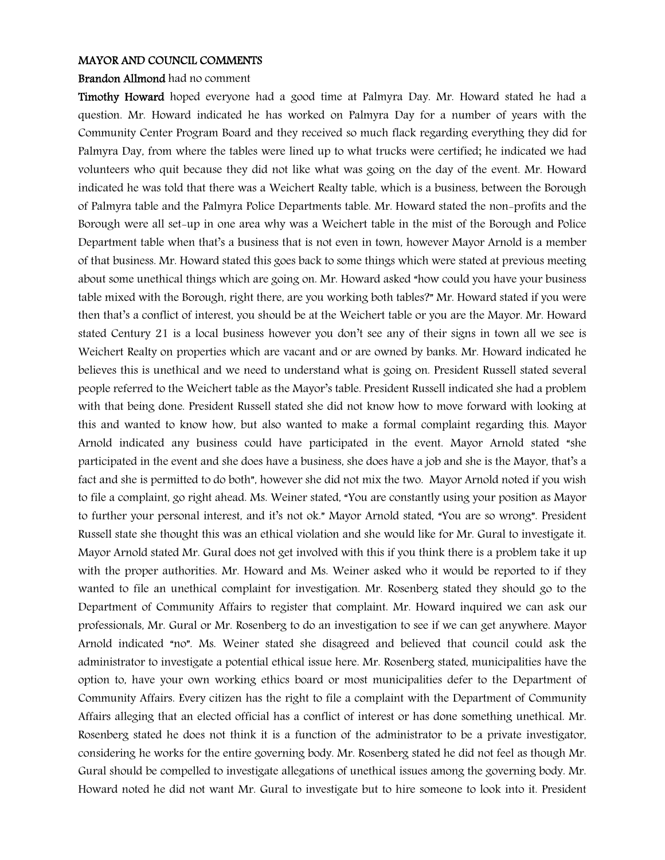#### MAYOR AND COUNCIL COMMENTS

### Brandon Allmond had no comment

Timothy Howard hoped everyone had a good time at Palmyra Day. Mr. Howard stated he had a question. Mr. Howard indicated he has worked on Palmyra Day for a number of years with the Community Center Program Board and they received so much flack regarding everything they did for Palmyra Day, from where the tables were lined up to what trucks were certified; he indicated we had volunteers who quit because they did not like what was going on the day of the event. Mr. Howard indicated he was told that there was a Weichert Realty table, which is a business, between the Borough of Palmyra table and the Palmyra Police Departments table. Mr. Howard stated the non-profits and the Borough were all set-up in one area why was a Weichert table in the mist of the Borough and Police Department table when that's a business that is not even in town, however Mayor Arnold is a member of that business. Mr. Howard stated this goes back to some things which were stated at previous meeting about some unethical things which are going on. Mr. Howard asked "how could you have your business table mixed with the Borough, right there, are you working both tables?" Mr. Howard stated if you were then that's a conflict of interest, you should be at the Weichert table or you are the Mayor. Mr. Howard stated Century 21 is a local business however you don't see any of their signs in town all we see is Weichert Realty on properties which are vacant and or are owned by banks. Mr. Howard indicated he believes this is unethical and we need to understand what is going on. President Russell stated several people referred to the Weichert table as the Mayor's table. President Russell indicated she had a problem with that being done. President Russell stated she did not know how to move forward with looking at this and wanted to know how, but also wanted to make a formal complaint regarding this. Mayor Arnold indicated any business could have participated in the event. Mayor Arnold stated "she participated in the event and she does have a business, she does have a job and she is the Mayor, that's a fact and she is permitted to do both", however she did not mix the two. Mayor Arnold noted if you wish to file a complaint, go right ahead. Ms. Weiner stated, "You are constantly using your position as Mayor to further your personal interest, and it's not ok." Mayor Arnold stated, "You are so wrong". President Russell state she thought this was an ethical violation and she would like for Mr. Gural to investigate it. Mayor Arnold stated Mr. Gural does not get involved with this if you think there is a problem take it up with the proper authorities. Mr. Howard and Ms. Weiner asked who it would be reported to if they wanted to file an unethical complaint for investigation. Mr. Rosenberg stated they should go to the Department of Community Affairs to register that complaint. Mr. Howard inquired we can ask our professionals, Mr. Gural or Mr. Rosenberg to do an investigation to see if we can get anywhere. Mayor Arnold indicated "no". Ms. Weiner stated she disagreed and believed that council could ask the administrator to investigate a potential ethical issue here. Mr. Rosenberg stated, municipalities have the option to, have your own working ethics board or most municipalities defer to the Department of Community Affairs. Every citizen has the right to file a complaint with the Department of Community Affairs alleging that an elected official has a conflict of interest or has done something unethical. Mr. Rosenberg stated he does not think it is a function of the administrator to be a private investigator, considering he works for the entire governing body. Mr. Rosenberg stated he did not feel as though Mr. Gural should be compelled to investigate allegations of unethical issues among the governing body. Mr. Howard noted he did not want Mr. Gural to investigate but to hire someone to look into it. President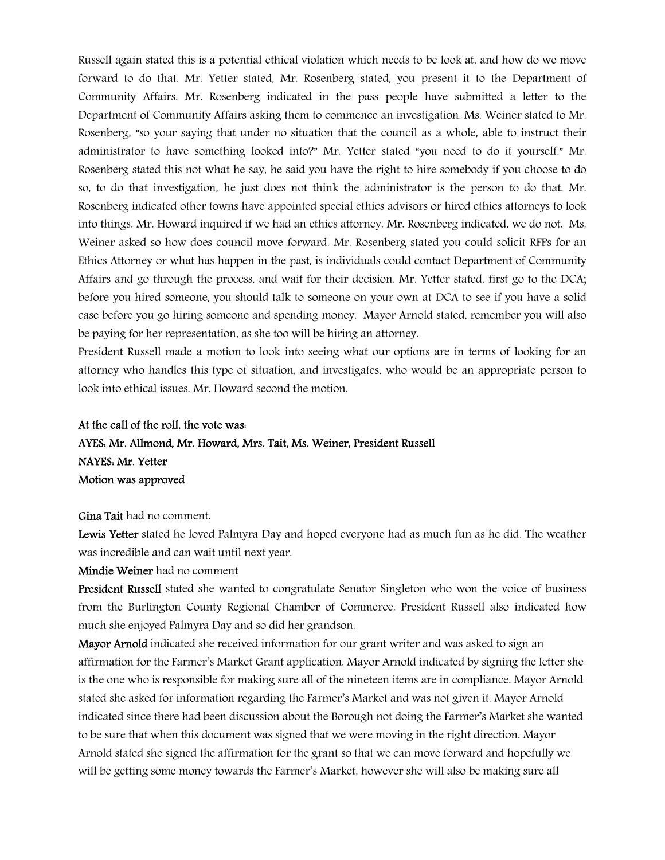Russell again stated this is a potential ethical violation which needs to be look at, and how do we move forward to do that. Mr. Yetter stated, Mr. Rosenberg stated, you present it to the Department of Community Affairs. Mr. Rosenberg indicated in the pass people have submitted a letter to the Department of Community Affairs asking them to commence an investigation. Ms. Weiner stated to Mr. Rosenberg, "so your saying that under no situation that the council as a whole, able to instruct their administrator to have something looked into?" Mr. Yetter stated "you need to do it yourself." Mr. Rosenberg stated this not what he say, he said you have the right to hire somebody if you choose to do so, to do that investigation, he just does not think the administrator is the person to do that. Mr. Rosenberg indicated other towns have appointed special ethics advisors or hired ethics attorneys to look into things. Mr. Howard inquired if we had an ethics attorney. Mr. Rosenberg indicated, we do not. Ms. Weiner asked so how does council move forward. Mr. Rosenberg stated you could solicit RFPs for an Ethics Attorney or what has happen in the past, is individuals could contact Department of Community Affairs and go through the process, and wait for their decision. Mr. Yetter stated, first go to the DCA; before you hired someone, you should talk to someone on your own at DCA to see if you have a solid case before you go hiring someone and spending money. Mayor Arnold stated, remember you will also be paying for her representation, as she too will be hiring an attorney.

President Russell made a motion to look into seeing what our options are in terms of looking for an attorney who handles this type of situation, and investigates, who would be an appropriate person to look into ethical issues. Mr. Howard second the motion.

## At the call of the roll, the vote was: AYES: Mr. Allmond, Mr. Howard, Mrs. Tait, Ms. Weiner, President Russell NAYES: Mr. Yetter Motion was approved

Gina Tait had no comment.

Lewis Yetter stated he loved Palmyra Day and hoped everyone had as much fun as he did. The weather was incredible and can wait until next year.

Mindie Weiner had no comment

President Russell stated she wanted to congratulate Senator Singleton who won the voice of business from the Burlington County Regional Chamber of Commerce. President Russell also indicated how much she enjoyed Palmyra Day and so did her grandson.

Mayor Arnold indicated she received information for our grant writer and was asked to sign an affirmation for the Farmer's Market Grant application. Mayor Arnold indicated by signing the letter she is the one who is responsible for making sure all of the nineteen items are in compliance. Mayor Arnold stated she asked for information regarding the Farmer's Market and was not given it. Mayor Arnold indicated since there had been discussion about the Borough not doing the Farmer's Market she wanted to be sure that when this document was signed that we were moving in the right direction. Mayor Arnold stated she signed the affirmation for the grant so that we can move forward and hopefully we will be getting some money towards the Farmer's Market, however she will also be making sure all